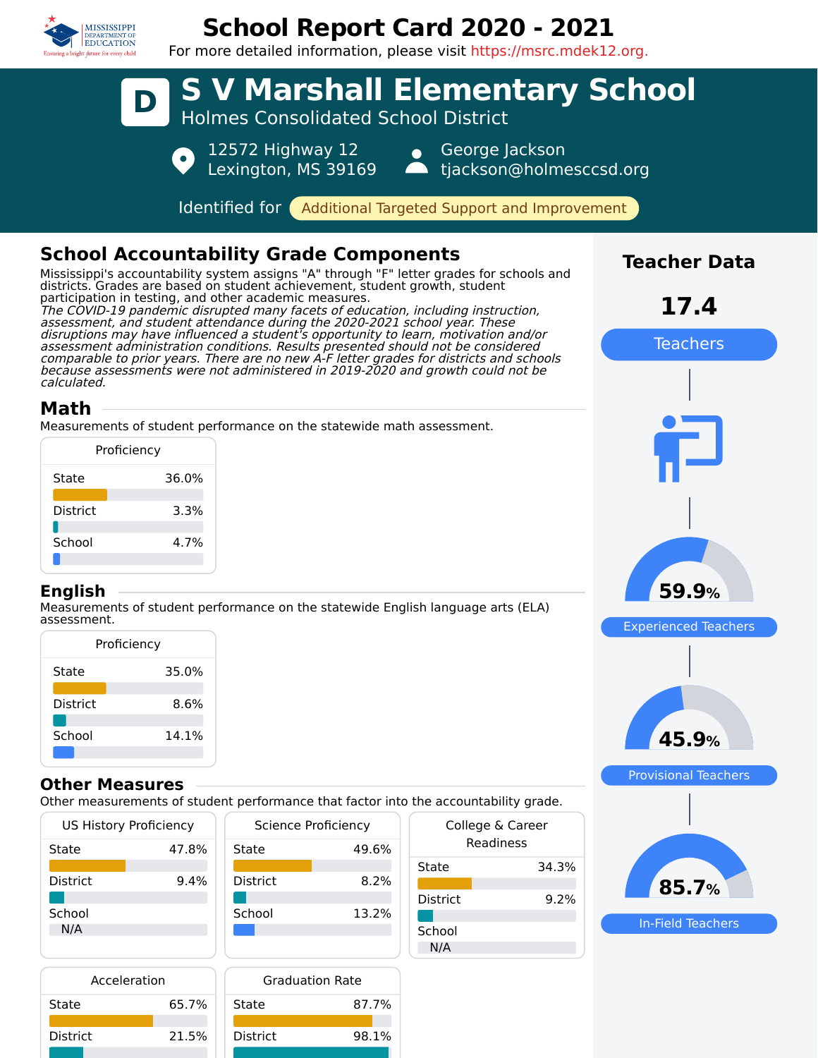

## **School Report Card 2020 - 2021**



## **Other Measures**

School 14.1%

Other measurements of student performance that factor into the accountability grade.

| <b>US History Proficiency</b> |       | Science Proficiency |       | College & Career |       |
|-------------------------------|-------|---------------------|-------|------------------|-------|
| State                         | 47.8% | State               | 49.6% | Readiness        |       |
|                               |       |                     |       | State            | 34.3% |
| <b>District</b>               | 9.4%  | <b>District</b>     | 8.2%  |                  |       |
|                               |       |                     |       | <b>District</b>  | 9.2%  |
| School                        |       | School              | 13.2% |                  |       |
| N/A                           |       |                     |       | School           |       |
|                               |       |                     |       | N/A              |       |



In-Field Teachers

| Acceleration |       | <b>Graduation Rate</b> |       |  |
|--------------|-------|------------------------|-------|--|
| State        | 65.7% | State                  | 87.7% |  |
| District     | 21.5% | <b>District</b>        | 98.1% |  |
|              |       |                        |       |  |